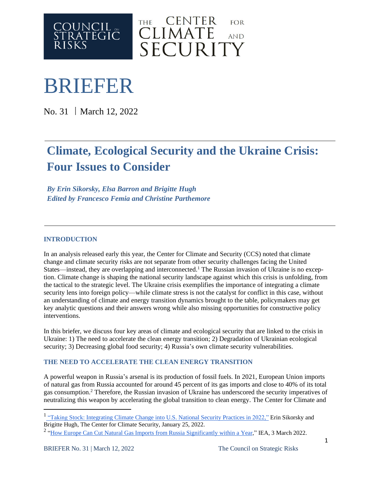



# BRIEFER

No. 31 | March 12, 2022

# **Climate, Ecological Security and the Ukraine Crisis: Four Issues to Consider**

*By Erin Sikorsky, Elsa Barron and Brigitte Hugh Edited by Francesco Femia and Christine Parthemore*

### **INTRODUCTION**

In an analysis released early this year, the Center for Climate and Security (CCS) noted that climate change and climate security risks are not separate from other security challenges facing the United States—instead, they are overlapping and interconnected.<sup>1</sup> The Russian invasion of Ukraine is no exception. Climate change is shaping the national security landscape against which this crisis is unfolding, from the tactical to the strategic level. The Ukraine crisis exemplifies the importance of integrating a climate security lens into foreign policy—while climate stress is not the catalyst for conflict in this case, without an understanding of climate and energy transition dynamics brought to the table, policymakers may get key analytic questions and their answers wrong while also missing opportunities for constructive policy interventions.

In this briefer, we discuss four key areas of climate and ecological security that are linked to the crisis in Ukraine: 1) The need to accelerate the clean energy transition; 2) Degradation of Ukrainian ecological security; 3) Decreasing global food security; 4) Russia's own climate security vulnerabilities.

## **THE NEED TO ACCELERATE THE CLEAN ENERGY TRANSITION**

A powerful weapon in Russia's arsenal is its production of fossil fuels. In 2021, European Union imports of natural gas from Russia accounted for around 45 percent of its gas imports and close to 40% of its total gas consumption.<sup>2</sup> Therefore, the Russian invasion of Ukraine has underscored the security imperatives of neutralizing this weapon by accelerating the global transition to clean energy. The Center for Climate and

<sup>&</sup>lt;sup>1</sup> "Taking Stock: [Integrating](https://climateandsecurity.org/wp-content/uploads/2022/01/Taking-Stock_Integrating-Climate-Change-into-U.S.-National-Security-Practices-in-2022_BRIEFER-29_2022_01_25.pdf) Climate Change into U.S. National Security Practices in 2022," Erin Sikorsky and Brigitte Hugh, The Center for Climate Security, January 25, 2022.

<sup>&</sup>lt;sup>2</sup> "How Europe Can Cut Natural Gas Imports from Russia [Significantly](https://www.iea.org/news/how-europe-can-cut-natural-gas-imports-from-russia-significantly-within-a-year) within a Year," IEA, 3 March 2022.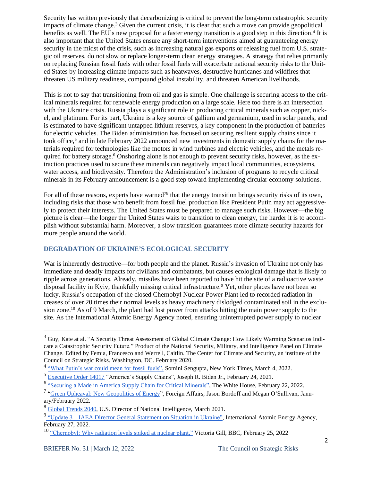Security has written previously that decarbonizing is critical to prevent the long-term catastrophic security impacts of climate change.<sup>3</sup> Given the current crisis, it is clear that such a move can provide geopolitical benefits as well. The EU's new proposal for a faster energy transition is a good step in this direction.<sup>4</sup> It is also important that the United States ensure any short-term interventions aimed at guaranteeing energy security in the midst of the crisis, such as increasing natural gas exports or releasing fuel from U.S. strategic oil reserves, do not slow or replace longer-term clean energy strategies. A strategy that relies primarily on replacing Russian fossil fuels with other fossil fuels will exacerbate national security risks to the United States by increasing climate impacts such as heatwaves, destructive hurricanes and wildfires that threaten US military readiness, compound global instability, and threaten American livelihoods.

This is not to say that transitioning from oil and gas is simple. One challenge is securing access to the critical minerals required for renewable energy production on a large scale. Here too there is an intersection with the Ukraine crisis. Russia plays a significant role in producing critical minerals such as copper, nickel, and platinum. For its part, Ukraine is a key source of gallium and germanium, used in solar panels, and is estimated to have significant untapped lithium reserves, a key component in the production of batteries for electric vehicles. The Biden administration has focused on securing resilient supply chains since it took office,<sup>5</sup> and in late February 2022 announced new investments in domestic supply chains for the materials required for technologies like the motors in wind turbines and electric vehicles, and the metals required for battery storage.<sup>6</sup> Onshoring alone is not enough to prevent security risks, however, as the extraction practices used to secure these minerals can negatively impact local communities, ecosystems, water access, and biodiversity. Therefore the Administration's inclusion of programs to recycle critical minerals in its February announcement is a good step toward implementing circular economy solutions.

For all of these reasons, experts have warned<sup>78</sup> that the energy transition brings security risks of its own, including risks that those who benefit from fossil fuel production like President Putin may act aggressively to protect their interests. The United States must be prepared to manage such risks. However—the big picture is clear—the longer the United States waits to transition to clean energy, the harder it is to accomplish without substantial harm. Moreover, a slow transition guarantees more climate security hazards for more people around the world.

#### **DEGRADATION OF UKRAINE'S ECOLOGICAL SECURITY**

War is inherently destructive—for both people and the planet. Russia's invasion of Ukraine not only has immediate and deadly impacts for civilians and combatants, but causes ecological damage that is likely to ripple across generations. Already, missiles have been reported to have hit the site of a radioactive waste disposal facility in Kyiv, thankfully missing critical infrastructure.<sup>9</sup> Yet, other places have not been so lucky. Russia's occupation of the closed Chernobyl Nuclear Power Plant led to recorded radiation increases of over 20 times their normal levels as heavy machinery dislodged contaminated soil in the exclusion zone.<sup>10</sup> As of 9 March, the plant had lost power from attacks hitting the main power supply to the site. As the International Atomic Energy Agency noted, ensuring uninterrupted power supply to nuclear

<sup>&</sup>lt;sup>3</sup> Guy, Kate at al. "A Security Threat Assessment of Global Climate Change: How Likely Warming Scenarios Indicate a Catastrophic Security Future." Product of the National Security, Military, and Intelligence Panel on Climate Change. Edited by Femia, Francesco and Werrell, Caitlin. The Center for Climate and Security, an institute of the Council on Strategic Risks. Washington, DC. February 2020.

<sup>&</sup>lt;sup>4</sup> "What [Putin's](https://www.nytimes.com/2022/03/04/climate/ukraine-russia-fossil-fuels.html) war could mean for fossil fuels", Somini Sengupta, New York Times, March 4, 2022.

<sup>&</sup>lt;sup>5</sup> [Executive](https://www.whitehouse.gov/briefing-room/presidential-actions/2021/02/24/executive-order-on-americas-supply-chains/) Order 14017 "America's Supply Chains", Joseph R. Biden Jr., February 24, 2021.

<sup>&</sup>lt;sup>6</sup> "Securing a Made in America Supply Chain for Critical [Minerals",](https://www.whitehouse.gov/briefing-room/statements-releases/2022/02/22/fact-sheet-securing-a-made-in-america-supply-chain-for-critical-minerals/) The White House, February 22, 2022.

<sup>&</sup>lt;sup>7</sup> "Green Upheaval: New [Geopolitics](https://www.foreignaffairs.com/articles/world/2021-11-30/geopolitics-energy-green-upheaval) of Energy", Foreign Affairs, Jason Bordoff and Megan O'Sullivan, January/February 2022.

<sup>8</sup> Global [Trends](https://www.dni.gov/files/ODNI/documents/assessments/GlobalTrends_2040.pdf) 2040, U.S. Director of National Intelligence, March 2021.

<sup>&</sup>lt;sup>9</sup> "Update 3 – IAEA Director General [Statement](https://www.iaea.org/newscenter/pressreleases/update-3-iaea-director-general-statement-on-situation-in-ukraine) on Situation in Ukraine", International Atomic Energy Agency, February 27, 2022.

<sup>&</sup>lt;sup>10</sup> ["Chernobyl:](https://www.bbc.com/news/science-environment-60528828) Why radiation levels spiked at nuclear plant," Victoria Gill, BBC, February 25, 2022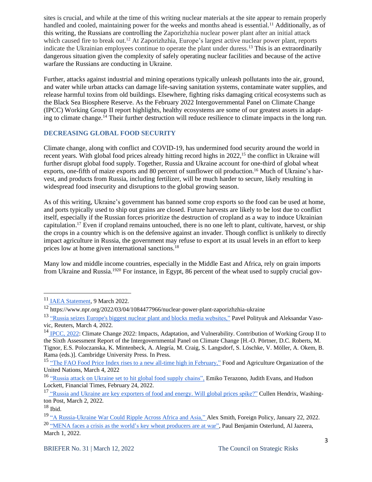sites is crucial, and while at the time of this writing nuclear materials at the site appear to remain properly handled and cooled, maintaining power for the weeks and months ahead is essential.<sup>11</sup> Additionally, as of this writing, the Russians are controlling the Zaporizhzhia nuclear power plant after an initial attack which caused fire to break out.<sup>12</sup> At Zaporizhzhia, Europe's largest active nuclear power plant, reports indicate the Ukrainian employees continue to operate the plant under duress.<sup>13</sup> This is an extraordinarily dangerous situation given the complexity of safely operating nuclear facilities and because of the active warfare the Russians are conducting in Ukraine.

Further, attacks against industrial and mining operations typically unleash pollutants into the air, ground, and water while urban attacks can damage life-saving sanitation systems, contaminate water supplies, and release harmful toxins from old buildings. Elsewhere, fighting risks damaging critical ecosystems such as the Black Sea Biosphere Reserve. As the February 2022 Intergovernmental Panel on Climate Change (IPCC) Working Group II report highlights, healthy ecosystems are some of our greatest assets in adapting to climate change.<sup>14</sup> Their further destruction will reduce resilience to climate impacts in the long run.

#### **DECREASING GLOBAL FOOD SECURITY**

Climate change, along with conflict and COVID-19, has undermined food security around the world in recent years. With global food prices already hitting record highs in 2022,<sup>15</sup> the conflict in Ukraine will further disrupt global food supply. Together, Russia and Ukraine account for one-third of global wheat exports, one-fifth of maize exports and 80 percent of sunflower oil production.<sup>16</sup> Much of Ukraine's harvest, and products from Russia, including fertilizer, will be much harder to secure, likely resulting in widespread food insecurity and disruptions to the global growing season.

As of this writing, Ukraine's government has banned some crop exports so the food can be used at home, and ports typically used to ship out grains are closed. Future harvests are likely to be lost due to conflict itself, especially if the Russian forces prioritize the destruction of cropland as a way to induce Ukrainian capitulation.<sup>17</sup> Even if cropland remains untouched, there is no one left to plant, cultivate, harvest, or ship the crops in a country which is on the defensive against an invader. Though conflict is unlikely to directly impact agriculture in Russia, the government may refuse to export at its usual levels in an effort to keep prices low at home given international sanctions.<sup>18</sup>

Many low and middle income countries, especially in the Middle East and Africa, rely on grain imports from Ukraine and Russia.<sup>1920</sup> For instance, in Egypt, 86 percent of the wheat used to supply crucial gov-

<sup>&</sup>lt;sup>11</sup> IAEA [Statement,](https://twitter.com/iaeaorg/status/1501545852715905029?s=20&t=YGYHhPyNXEp8Gz0EMq6cUQ) 9 March 2022.

<sup>12</sup> https://www.npr.org/2022/03/04/1084477966/nuclear-power-plant-zaporizhzhia-ukraine

<sup>&</sup>lt;sup>13</sup> "Russia seizes Europe's biggest nuclear plant and blocks media [websites,"](https://www.reuters.com/markets/europe/top-wrap-1-europes-largest-nuclear-power-plant-fire-after-russian-attack-mayor-2022-03-04/) Pavel Polityuk and Aleksandar Vasovic, Reuters, March 4, 2022.

<sup>&</sup>lt;sup>14</sup> [IPCC,](https://www.ipcc.ch/report/ar6/wg2/about/how-to-cite-this-report/) 2022: Climate Change 2022: Impacts, Adaptation, and Vulnerability. Contribution of Working Group II to the Sixth Assessment Report of the Intergovernmental Panel on Climate Change [H.-O. Pörtner, D.C. Roberts, M. Tignor, E.S. Poloczanska, K. Mintenbeck, A. Alegría, M. Craig, S. Langsdorf, S. Löschke, V. Möller, A. Okem, B. Rama (eds.)]. Cambridge University Press. In Press.

<sup>&</sup>lt;sup>15</sup> "The FAO Food Price Index rises to a new all-time high in [February,"](https://www.fao.org/worldfoodsituation/foodpricesindex/en/) Food and Agriculture Organization of the United Nations, March 4, 2022

<sup>&</sup>lt;sup>16</sup> "Russia attack on Ukraine set to hit global food supply [chains",](https://www.ft.com/content/c0c9fe20-e219-45d4-b029-2cfbaf86a755) Emiko Terazono, Judith Evans, and Hudson Lockett, Financial Times, February 24, 2022.

<sup>&</sup>lt;sup>17</sup> "Russia and Ukraine are key [exporters](https://www.washingtonpost.com/politics/2022/03/02/russia-ukraine-are-key-exporters-food-energy-will-global-prices-spike/) o<u>f food and energy. Will global prices spike?"</u> Cullen Hendrix, Washington Post, March 2, 2022.

 $18$  Ibid.

<sup>19</sup> "A [Russia-Ukraine](https://foreignpolicy.com/2022/01/22/russia-ukraine-war-grain-exports-africa-asia/) War Could Ripple Across Africa and Asia," Alex Smith, Foreign Policy, January 22, 2022. <sup>20</sup> "MENA faces a crisis as the world's key wheat [producers](https://www.aljazeera.com/news/2022/3/1/mena-region-faces-crisis-as-worlds-key-wheat-producers-at-war) are at war", Paul Benjamin Osterlund, Al Jazeera, March 1, 2022.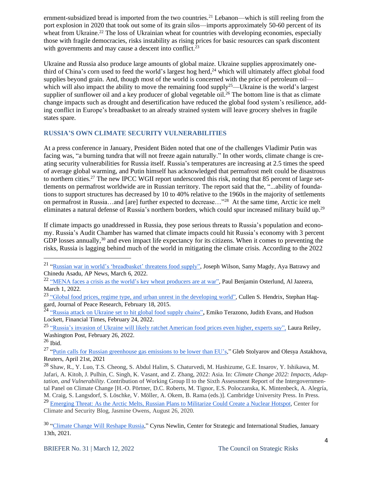ernment-subsidized bread is imported from the two countries.<sup>21</sup> Lebanon—which is still reeling from the port explosion in 2020 that took out some of its grain silos—imports approximately 50-60 percent of its wheat from Ukraine.<sup>22</sup> The loss of Ukrainian wheat for countries with developing economies, especially those with fragile democracies, risks instability as rising prices for basic resources can spark discontent with governments and may cause a descent into conflict.<sup>23</sup>

Ukraine and Russia also produce large amounts of global maize. Ukraine supplies approximately onethird of China's corn used to feed the world's largest hog herd,<sup>24</sup> which will ultimately affect global food supplies beyond grain. And, though most of the world is concerned with the price of petroleum oil which will also impact the ability to move the remaining food supply<sup>25</sup>—Ukraine is the world's largest supplier of sunflower oil and a key producer of global vegetable oil.<sup>26</sup> The bottom line is that as climate change impacts such as drought and desertification have reduced the global food system's resilience, adding conflict in Europe's breadbasket to an already strained system will leave grocery shelves in fragile states spare.

#### **RUSSIA'S OWN CLIMATE SECURITY VULNERABILITIES**

At a press conference in January, President Biden noted that one of the challenges Vladimir Putin was facing was, "a burning tundra that will not freeze again naturally." In other words, climate change is creating security vulnerabilities for Russia itself. Russia's temperatures are increasing at 2.5 times the speed of average global warming, and Putin himself has acknowledged that permafrost melt could be disastrous to northern cities.<sup>27</sup> The new IPCC WGII report underscored this risk, noting that 85 percent of large settlements on permafrost worldwide are in Russian territory. The report said that the, "...ability of foundations to support structures has decreased by 10 to 40% relative to the 1960s in the majority of settlements on permafrost in Russia…and [are] further expected to decrease…"<sup>28</sup> At the same time, Arctic ice melt eliminates a natural defense of Russia's northern borders, which could spur increased military build up.<sup>29</sup>

If climate impacts go unaddressed in Russia, they pose serious threats to Russia's population and economy. Russia's Audit Chamber has warned that climate impacts could hit Russia's economy with 3 percent GDP losses annually,<sup>30</sup> and even impact life expectancy for its citizens. When it comes to preventing the risks, Russia is lagging behind much of the world in mitigating the climate crisis. According to the 2022

<sup>&</sup>lt;sup>21</sup> "Russian war in world's ['breadbasket'](https://apnews.com/article/russia-ukraine-business-africa-lifestyle-middle-east-1b41faaa7ac0984d0673023b68d39a70) threatens food supply", Joseph Wilson, Samy Magdy, Aya Batrawy and Chinedu Asadu, AP News, March 6, 2022.

<sup>&</sup>lt;sup>22</sup> "MENA faces a crisis as the world's key wheat [producers](https://www.aljazeera.com/news/2022/3/1/mena-region-faces-crisis-as-worlds-key-wheat-producers-at-war) are at war", Paul Benjamin Osterlund, Al Jazeera, March 1, 2022.

<sup>&</sup>lt;sup>23</sup> "Global food prices, regime type, and urban unrest in the [developing](https://journals.sagepub.com/doi/abs/10.1177/0022343314561599) world", Cullen S. Hendrix, Stephan Haggard, Journal of Peace Research, February 18, 2015.

<sup>&</sup>lt;sup>24</sup> "Russia attack on Ukraine set to hit global food supply chains", Emiko Terazono, Judith Evans, and Hudson Lockett, Financial Times, February 24, 2022.

<sup>&</sup>lt;sup>25</sup> "Russia's invasion of Ukraine will likely ratchet American food prices even higher, experts say", Laura Reiley, Washington Post, February 26, 2022.

<sup>26</sup> Ibid.

<sup>&</sup>lt;sup>27</sup> "Putin calls for Russian [greenhouse](https://www.reuters.com/business/environment/putin-says-russias-greenhouse-gas-emissions-should-be-lower-than-eus-2021-04-21/) gas emissions to be lower than EU's," Gleb Stolyarov and Olesya Astakhova, Reuters, April 21st, 2021

<sup>28</sup> Shaw, R., Y. Luo, T.S. Cheong, S. Abdul Halim, S. Chaturvedi, M. Hashizume, G.E. Insarov, Y. Ishikawa, M. Jafari, A. Kitoh, J. Pulhin, C. Singh, K. Vasant, and Z. Zhang, 2022: Asia. In: *Climate Change 2022: Impacts, Adaptation, and Vulnerability.* Contribution of Working Group II to the Sixth Assessment Report of the Intergovernmental Panel on Climate Change [H.-O. Pörtner, D.C. Roberts, M. Tignor, E.S. Poloczanska, K. Mintenbeck, A. Alegría, M. Craig, S. Langsdorf, S. Löschke, V. Möller, A. Okem, B. Rama (eds.)]. Cambridge University Press. In Press. <sup>29</sup> [Emerging](https://climateandsecurity.org/2020/08/emerging-threat-as-the-arctic-melts-russian-plans-to-militarize-could-create-a-nuclear-hotspot/) Threat: As the Arctic Melts, Russian Plans to Militarize Could Create a Nuclear Hotspot, Center for Climate and Security Blog, Jasmine Owens, August 26, 2020.

<sup>&</sup>lt;sup>30</sup> ["Climate](https://www.csis.org/analysis/climate-change-will-reshape-russia) Change Will Reshape Russia," Cyrus Newlin, Center for Strategic and International Studies, January 13th, 2021.